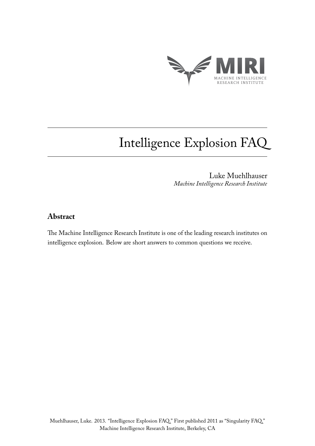

Luke Muehlhauser *Machine Intelligence Research Institute*

# **Abstract**

The Machine Intelligence Research Institute is one of the leading research institutes on intelligence explosion. Below are short answers to common questions we receive.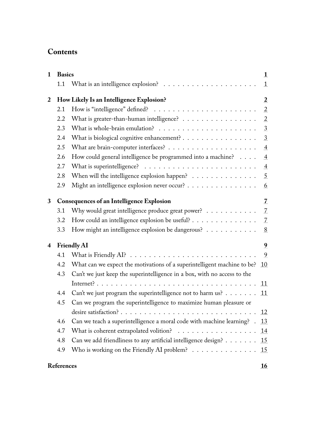# **Contents**

| $\mathbf{1}$            | <b>Basics</b>                                    |                                                                                       | 1              |
|-------------------------|--------------------------------------------------|---------------------------------------------------------------------------------------|----------------|
|                         | 1.1                                              |                                                                                       | $\mathbf{1}$   |
| 2                       | How Likely Is an Intelligence Explosion?         |                                                                                       | $\overline{2}$ |
|                         | 2.1                                              |                                                                                       | $\overline{2}$ |
|                         | 2.2                                              | What is greater-than-human intelligence? $\ldots \ldots \ldots \ldots \ldots$         | $\overline{2}$ |
|                         | 2.3                                              |                                                                                       | 3              |
|                         | 2.4                                              | What is biological cognitive enhancement?                                             | 3              |
|                         | 2.5                                              |                                                                                       | $\overline{4}$ |
|                         | 2.6                                              | How could general intelligence be programmed into a machine?                          | 4              |
|                         | 2.7                                              |                                                                                       | $\overline{4}$ |
|                         | 2.8                                              | When will the intelligence explosion happen?                                          | 5              |
|                         | 2.9                                              | Might an intelligence explosion never occur?                                          | 6              |
| 3                       | <b>Consequences of an Intelligence Explosion</b> |                                                                                       | 7              |
|                         | 3.1                                              | Why would great intelligence produce great power? $\dots \dots \dots$                 | 7              |
|                         | 3.2                                              | How could an intelligence explosion be useful?                                        | 7              |
|                         | 3.3                                              | How might an intelligence explosion be dangerous?                                     | 8              |
| $\overline{\mathbf{4}}$ | <b>Friendly AI</b>                               |                                                                                       | 9              |
|                         | 4.1                                              | What is Friendly AI? $\ldots \ldots \ldots \ldots \ldots \ldots \ldots \ldots \ldots$ | 9              |
|                         | 4.2                                              | What can we expect the motivations of a superintelligent machine to be?               | 10             |
|                         | 4.3                                              | Can't we just keep the superintelligence in a box, with no access to the              |                |
|                         |                                                  |                                                                                       | 11             |
|                         | 4.4                                              | Can't we just program the superintelligence not to harm us?                           | 11             |
|                         | 4.5                                              | Can we program the superintelligence to maximize human pleasure or                    |                |
|                         |                                                  |                                                                                       | 12             |
|                         | 4.6                                              | Can we teach a superintelligence a moral code with machine learning? .                | 13             |
|                         | 4.7                                              | What is coherent extrapolated volition? $\ldots \ldots \ldots \ldots \ldots$          | 14             |
|                         | 4.8                                              | Can we add friendliness to any artificial intelligence design?                        | 15             |
|                         | 4.9                                              | Who is working on the Friendly AI problem? $\ldots \ldots \ldots \ldots \ldots$       | 15             |
|                         | <b>References</b>                                |                                                                                       |                |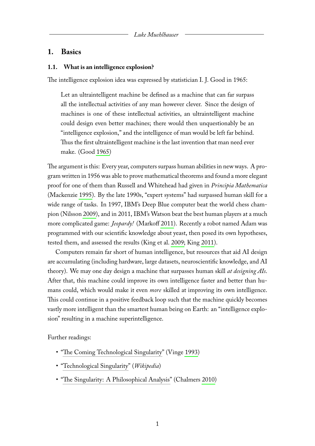# <span id="page-2-0"></span>**1. Basics**

#### <span id="page-2-1"></span>**1.1. What is an intelligence explosion?**

The intelligence explosion idea was expressed by statistician I. J. Good in 1965:

Let an ultraintelligent machine be defined as a machine that can far surpass all the intellectual activities of any man however clever. Since the design of machines is one of these intellectual activities, an ultraintelligent machine could design even better machines; there would then unquestionably be an "intelligence explosion," and the intelligence of man would be left far behind. Thus the first ultraintelligent machine is the last invention that man need ever make. (Good [1965\)](#page-18-0)

The argument is this: Every year, computers surpass human abilities in new ways. A program written in 1956 was able to prove mathematical theorems and found a more elegant proof for one of them than Russell and Whitehead had given in *Principia Mathematica* (Mackenzie [1995\)](#page-19-0). By the late 1990s, "expert systems" had surpassed human skill for a wide range of tasks. In 1997, IBM's Deep Blue computer beat the world chess champion (Nilsson [2009\)](#page-19-1), and in 2011, IBM's Watson beat the best human players at a much more complicated game: *Jeopardy!* (Markoff [2011\)](#page-19-2). Recently a robot named Adam was programmed with our scientific knowledge about yeast, then posed its own hypotheses, tested them, and assessed the results (King et al. [2009;](#page-19-3) King [2011\)](#page-18-1).

Computers remain far short of human intelligence, but resources that aid AI design are accumulating (including hardware, large datasets, neuroscientific knowledge, and AI theory). We may one day design a machine that surpasses human skill *at designing AIs*. After that, this machine could improve its own intelligence faster and better than humans could, which would make it even *more* skilled at improving its own intelligence. This could continue in a positive feedback loop such that the machine quickly becomes vastly more intelligent than the smartest human being on Earth: an "intelligence explosion" resulting in a machine superintelligence.

Further readings:

- ["The Coming Technological Singularity"](http://www-rohan.sdsu.edu/faculty/vinge/misc/singularity.html) (Vinge [1993\)](#page-20-0)
- ["Technological Singularity"](http://en.wikipedia.org/wiki/Technological_singularity) (*Wikipedia*)
- <span id="page-2-2"></span>• ["The Singularity: A Philosophical Analysis"](http://www.ingentaconnect.com/content/imp/jcs/2010/00000017/f0020009/art00001) (Chalmers [2010\)](#page-18-2)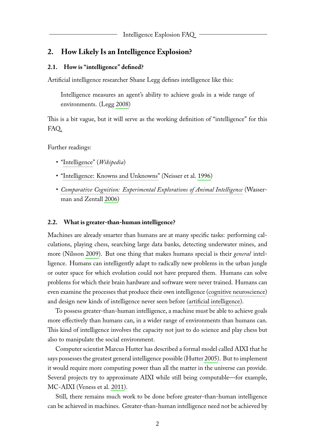# **2. How Likely Is an Intelligence Explosion?**

#### <span id="page-3-0"></span>**2.1. How is "intelligence" defined?**

Artificial intelligence researcher Shane Legg defines intelligence like this:

Intelligence measures an agent's ability to achieve goals in a wide range of environments. (Legg [2008\)](#page-19-4)

This is a bit vague, but it will serve as the working definition of "intelligence" for this FAQ.

Further readings:

- ["Intelligence"](http://en.wikipedia.org/wiki/Intelligence) (*Wikipedia*)
- ["Intelligence: Knowns and Unknowns"](http://dx.doi.org/10.1037/0003-066X.51.2.77) (Neisser et al. [1996\)](#page-19-5)
- *[Comparative Cognition: Experimental Explorations of Animal Intelligence](http://www.amazon.com/Comparative-Cognition-Experimental-Explorations-Intelligence/dp/019537780X)* (Wasserman and Zentall [2006\)](#page-20-1)

#### <span id="page-3-1"></span>**2.2. What is greater-than-human intelligence?**

Machines are already smarter than humans are at many specific tasks: performing calculations, playing chess, searching large data banks, detecting underwater mines, and more (Nilsson [2009\)](#page-19-1). But one thing that makes humans special is their *general* intelligence. Humans can intelligently adapt to radically new problems in the urban jungle or outer space for which evolution could not have prepared them. Humans can solve problems for which their brain hardware and software were never trained. Humans can even examine the processes that produce their own intelligence [\(cognitive neuroscience\)](http://en.wikipedia.org/wiki/Cognitive_neuroscience) and design new kinds of intelligence never seen before [\(artificial intelligence\)](http://en.wikipedia.org/wiki/Artificial_intelligence).

To possess greater-than-human intelligence, a machine must be able to achieve goals more effectively than humans can, in a wider range of environments than humans can. This kind of intelligence involves the capacity not just to do science and play chess but also to manipulate the social environment.

Computer scientist Marcus Hutter has described a formal model called AIXI that he says possesses the greatest general intelligence possible (Hutter [2005\)](#page-18-3). But to implement it would require more computing power than all the matter in the universe can provide. Several projects try to approximate AIXI while still being computable—for example, MC-AIXI (Veness et al. [2011\)](#page-20-2).

Still, there remains much work to be done before greater-than-human intelligence can be achieved in machines. Greater-than-human intelligence need not be achieved by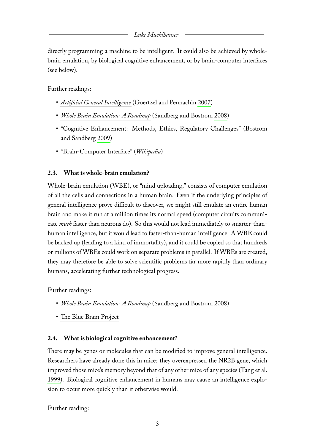directly programming a machine to be intelligent. It could also be achieved by wholebrain emulation, by biological cognitive enhancement, or by brain-computer interfaces (see below).

Further readings:

- *[Artificial General Intelligence](http://www.amazon.com/Artificial-General-Intelligence-Cognitive-Technologies/dp/354023733X)* (Goertzel and Pennachin [2007\)](#page-18-4)
- *[Whole Brain Emulation: A Roadmap](http://www.philosophy.ox.ac.uk/__data/assets/pdf_file/0019/3853/brain-emulation-roadmap-report.pdf)* (Sandberg and Bostrom [2008\)](#page-20-3)
- ["Cognitive Enhancement: Methods, Ethics, Regulatory Challenges"](http://dx.doi.org/10.1007/s11948-009-9142-5) (Bostrom and Sandberg [2009\)](#page-17-1)
- ["Brain-Computer Interface"](http://en.wikipedia.org/wiki/Brain%E2%80%93computer_interface) (*Wikipedia*)

# <span id="page-4-0"></span>**2.3. What is whole-brain emulation?**

Whole-brain emulation (WBE), or "mind uploading," consists of computer emulation of all the cells and connections in a human brain. Even if the underlying principles of general intelligence prove difficult to discover, we might still emulate an entire human brain and make it run at a million times its normal speed (computer circuits communicate *much* faster than neurons do). So this would not lead immediately to smarter-thanhuman intelligence, but it would lead to faster-than-human intelligence. A WBE could be backed up (leading to a kind of immortality), and it could be copied so that hundreds or millions of WBEs could work on separate problems in parallel. If WBEs are created, they may therefore be able to solve scientific problems far more rapidly than ordinary humans, accelerating further technological progress.

Further readings:

- *[Whole Brain Emulation: A Roadmap](http://www.philosophy.ox.ac.uk/__data/assets/pdf_file/0019/3853/brain-emulation-roadmap-report.pdf)* (Sandberg and Bostrom [2008\)](#page-20-3)
- [The Blue Brain Project](http://bluebrain.epfl.ch)

# <span id="page-4-1"></span>**2.4. What is biological cognitive enhancement?**

There may be genes or molecules that can be modified to improve general intelligence. Researchers have already done this in mice: they overexpressed the NR2B gene, which improved those mice's memory beyond that of any other mice of any species (Tang et al. [1999\)](#page-20-4). Biological cognitive enhancement in humans may cause an intelligence explosion to occur more quickly than it otherwise would.

Further reading: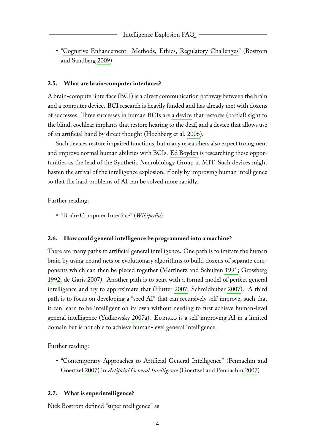• ["Cognitive Enhancement: Methods, Ethics, Regulatory Challenges"](http://dx.doi.org/10.1007/s11948-009-9142-5) (Bostrom and Sandberg [2009\)](#page-17-1)

# <span id="page-5-0"></span>**2.5. What are brain-computer interfaces?**

A brain-computer interface (BCI) is a direct communication pathway between the brain and a computer device. BCI research is heavily funded and has already met with dozens of successes. Three successes in human BCIs are [a device](http://archives.cnn.com/2002/HEALTH/06/13/cov.bionic.eye/index.html) that restores (partial) sight to the blind, [cochlear implants](http://en.wikipedia.org/wiki/Cochlear_implant) that restore hearing to the deaf, and [a device](http://dx.doi.org/10.1038/nature04970) that allows use of an artificial hand by direct thought (Hochberg et al. [2006\)](#page-18-5).

Such devices restore impaired functions, but many researchers also expect to augment and improve normal human abilities with BCIs. [Ed Boyden](http://edboyden.org/) is researching these opportunities as the lead of the [Synthetic Neurobiology Group](http://syntheticneurobiology.org/) at MIT. Such devices might hasten the arrival of the intelligence explosion, if only by improving human intelligence so that the hard problems of AI can be solved more rapidly.

Further reading:

• ["Brain-Computer Interface"](http://en.wikipedia.org/wiki/Brain%E2%80%93computer_interface) (*Wikipedia*)

# <span id="page-5-1"></span>**2.6. How could general intelligence be programmed into a machine?**

There are many paths to artificial general intelligence. One path is to imitate the human brain by using neural nets or evolutionary algorithms to build dozens of separate components which can then be pieced together (Martinetz and Schulten [1991;](#page-19-6) Grossberg [1992;](#page-18-6) de Garis [2007\)](#page-18-7). Another path is to start with a formal model of perfect general intelligence and try to approximate that (Hutter [2007;](#page-18-8) Schmidhuber [2007\)](#page-20-5). A third path is to focus on developing a "seed AI" that can recursively self-improve, such that it can learn to be intelligent on its own without needing to first achieve human-level general intelligence (Yudkowsky [2007a\)](#page-21-0). [Eurisko](http://en.wikipedia.org/wiki/Eurisko) is a self-improving AI in a limited domain but is not able to achieve human-level general intelligence.

Further reading:

• "Contemporary Approaches to Artificial General Intelligence" (Pennachin and Goertzel [2007\)](#page-19-7) in *[Artificial General Intelligence](http://www.amazon.com/Artificial-General-Intelligence-Cognitive-Technologies/dp/354023733X)* (Goertzel and Pennachin [2007\)](#page-18-4)

### <span id="page-5-2"></span>**2.7. What is superintelligence?**

Nick Bostrom defined "superintelligence" as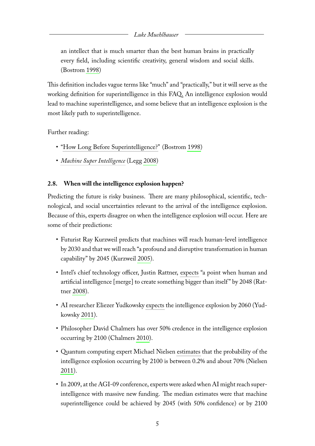an intellect that is much smarter than the best human brains in practically every field, including scientific creativity, general wisdom and social skills. (Bostrom [1998\)](#page-17-2)

This definition includes vague terms like "much" and "practically," but it will serve as the working definition for superintelligence in this FAQ. An intelligence explosion would lead to machine superintelligence, and some believe that an intelligence explosion is the most likely path to superintelligence.

Further reading:

- ["How Long Before Superintelligence?"](http://www.nickbostrom.com/superintelligence.html) (Bostrom [1998\)](#page-17-2)
- *[Machine Super Intelligence](http://www.vetta.org/documents/Machine_Super_Intelligence.pdf)* (Legg [2008\)](#page-19-4)

# <span id="page-6-0"></span>**2.8. When will the intelligence explosion happen?**

Predicting the future is risky business. There are many philosophical, scientific, technological, and social uncertainties relevant to the arrival of the intelligence explosion. Because of this, experts disagree on when the intelligence explosion will occur. Here are some of their predictions:

- Futurist Ray Kurzweil predicts that machines will reach human-level intelligence by 2030 and that we will reach "a profound and disruptive transformation in human capability" by 2045 (Kurzweil [2005\)](#page-19-8).
- Intel's chief technology officer, Justin Rattner, [expects](http://www.techwatch.co.uk/2008/08/22/intel-predicts-singularity-by-2048/) "a point when human and artificial intelligence [merge] to create something bigger than itself" by 2048 (Rattner [2008\)](#page-19-9).
- AI researcher Eliezer Yudkowsky [expects](http://commonsenseatheism.com/?p=12147) the intelligence explosion by 2060 (Yudkowsky [2011\)](#page-21-1).
- Philosopher David Chalmers has over 50% credence in the intelligence explosion occurring by 2100 (Chalmers [2010\)](#page-18-2).
- Quantum computing expert Michael Nielsen [estimates](http://michaelnielsen.org/blog/what-should-a-reasonable-person-believe-about-the-singularity/) that the probability of the intelligence explosion occurring by 2100 is between 0.2% and about 70% (Nielsen [2011\)](#page-19-10).
- In 2009, at the AGI-09 conference, experts were asked when AI might reach superintelligence with massive new funding. The median estimates were that machine superintelligence could be achieved by 2045 (with 50% confidence) or by 2100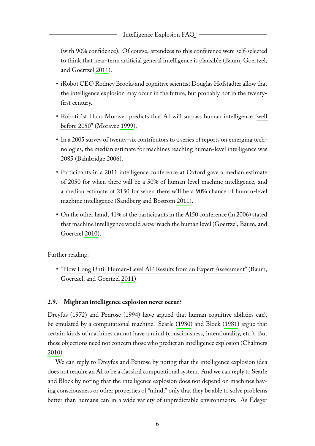(with 90% confidence). Of course, attendees to this conference were self-selected to think that near-term artificial general intelligence is plausible (Baum, Goertzel, and Goertzel [2011\)](#page-17-3).

- iRobot CEO [Rodney Brooks](http://itc.conversationsnetwork.org/shows/detail3400.html) and cognitive scientist [Douglas Hofstadter](http://video.google.com/videoplay?docid=8832143373632003914) allow that the intelligence explosion may occur in the future, but probably not in the twentyfirst century.
- Roboticist Hans Moravec predicts that AI will surpass human intelligence ["well](http://www.scientificamerican.com/article.cfm?id=rise-of-the-robots) [before 2050"](http://www.scientificamerican.com/article.cfm?id=rise-of-the-robots) (Moravec [1999\)](#page-19-11).
- In a 2005 survey of twenty-six contributors to a series of reports on emerging technologies, the median estimate for machines reaching human-level intelligence was 2085 (Bainbridge [2006\)](#page-17-4).
- Participants in a 2011 intelligence conference at Oxford gave a median estimate of 2050 for when there will be a 50% of human-level machine intelligence, and a median estimate of 2150 for when there will be a 90% chance of human-level machine intelligence (Sandberg and Bostrom [2011\)](#page-20-6).
- On the other hand, 41% of the participants in the AI50 conference (in 2006) [stated](http://hplusmagazine.com/2010/02/05/how-long-till-human-level-ai/) that machine intelligence would *never* reach the human level (Goertzel, Baum, and Goertzel [2010\)](#page-18-9).

Further reading:

• ["How Long Until Human-Level AI? Results from an Expert Assessment"](http://dx.doi.org/10.1016/j.techfore.2010.09.006) (Baum, Goertzel, and Goertzel [2011\)](#page-17-3)

# <span id="page-7-0"></span>**2.9. Might an intelligence explosion never occur?**

Dreyfus [\(1972\)](#page-18-10) and Penrose [\(1994\)](#page-19-12) have argued that human cognitive abilities can't be emulated by a computational machine. Searle [\(1980\)](#page-20-7) and Block [\(1981\)](#page-17-5) argue that certain kinds of machines cannot have a mind (consciousness, intentionality, etc.). But these objections need not concern those who predict an intelligence explosion (Chalmers [2010\)](#page-18-2).

We can reply to Dreyfus and Penrose by noting that the intelligence explosion idea does not require an AI to be a classical computational system. And we can reply to Searle and Block by noting that the intelligence explosion does not depend on machines having consciousness or other properties of "mind," only that they be able to solve problems better than humans can in a wide variety of unpredictable environments. As Edsger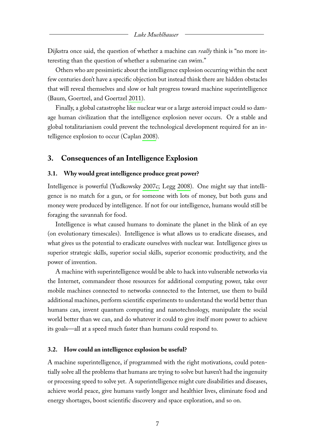Dijkstra once said, the question of whether a machine can *really* think is "no more interesting than the question of whether a submarine can swim."

Others who are pessimistic about the intelligence explosion occurring within the next few centuries don't have a specific objection but instead think there are hidden obstacles that will reveal themselves and slow or halt progress toward machine superintelligence (Baum, Goertzel, and Goertzel [2011\)](#page-17-3).

Finally, a global catastrophe like nuclear war or a large asteroid impact could so damage human civilization that the intelligence explosion never occurs. Or a stable and global totalitarianism could prevent the technological development required for an intelligence explosion to occur (Caplan [2008\)](#page-17-6).

# <span id="page-8-0"></span>**3. Consequences of an Intelligence Explosion**

#### <span id="page-8-1"></span>**3.1. Why would great intelligence produce great power?**

Intelligence is powerful (Yudkowsky [2007c;](#page-21-2) Legg [2008\)](#page-19-4). One might say that intelligence is no match for a gun, or for someone with lots of money, but both guns and money were produced by intelligence. If not for our intelligence, humans would still be foraging the savannah for food.

Intelligence is what caused humans to dominate the planet in the blink of an eye (on evolutionary timescales). Intelligence is what allows us to eradicate diseases, and what gives us the potential to eradicate ourselves with nuclear war. Intelligence gives us superior strategic skills, superior social skills, superior economic productivity, and the power of invention.

A machine with superintelligence would be able to hack into vulnerable networks via the Internet, commandeer those resources for additional computing power, take over mobile machines connected to networks connected to the Internet, use them to build additional machines, perform scientific experiments to understand the world better than humans can, invent quantum computing and nanotechnology, manipulate the social world better than we can, and do whatever it could to give itself more power to achieve its goals—all at a speed much faster than humans could respond to.

#### <span id="page-8-2"></span>**3.2. How could an intelligence explosion be useful?**

A machine superintelligence, if programmed with the right motivations, could potentially solve all the problems that humans are trying to solve but haven't had the ingenuity or processing speed to solve yet. A superintelligence might cure disabilities and diseases, achieve world peace, give humans vastly longer and healthier lives, eliminate food and energy shortages, boost scientific discovery and space exploration, and so on.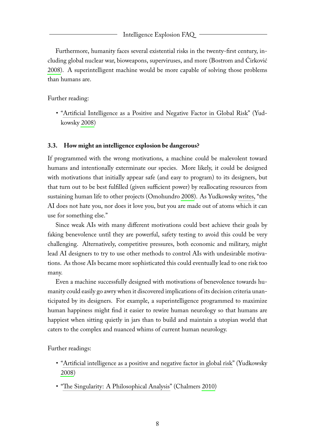Furthermore, humanity faces several existential risks in the twenty-first century, including global nuclear war, bioweapons, superviruses, and more (Bostrom and Ćirković [2008\)](#page-17-7). A superintelligent machine would be more capable of solving those problems than humans are.

Further reading:

• ["Artificial Intelligence as a Positive and Negative Factor in Global Risk"](http://intelligence.org/files/AIPosNegFactor.pdf) (Yudkowsky [2008\)](#page-21-3)

#### <span id="page-9-0"></span>**3.3. How might an intelligence explosion be dangerous?**

If programmed with the wrong motivations, a machine could be malevolent toward humans and intentionally exterminate our species. More likely, it could be designed with motivations that initially appear safe (and easy to program) to its designers, but that turn out to be best fulfilled (given sufficient power) by reallocating resources from sustaining human life to other projects (Omohundro [2008\)](#page-19-13). As Yudkowsky [writes,](http://intelligence.org/files/AIPosNegFactor.pdf) "the AI does not hate you, nor does it love you, but you are made out of atoms which it can use for something else."

Since weak AIs with many different motivations could best achieve their goals by faking benevolence until they are powerful, safety testing to avoid this could be very challenging. Alternatively, competitive pressures, both economic and military, might lead AI designers to try to use other methods to control AIs with undesirable motivations. As those AIs became more sophisticated this could eventually lead to one risk too many.

Even a machine successfully designed with motivations of benevolence towards humanity could easily go awry when it discovered implications of its decision criteria unanticipated by its designers. For example, a superintelligence programmed to maximize human happiness might find it easier to rewire human neurology so that humans are happiest when sitting quietly in jars than to build and maintain a utopian world that caters to the complex and nuanced whims of current human neurology.

Further readings:

- ["Artificial intelligence as a positive and negative factor in global risk"](http://intelligence.org/files/AIPosNegFactor.pdf) (Yudkowsky [2008\)](#page-21-3)
- <span id="page-9-1"></span>• ["The Singularity: A Philosophical Analysis"](http://www.ingentaconnect.com/content/imp/jcs/2010/00000017/f0020009/art00001) (Chalmers [2010\)](#page-18-2)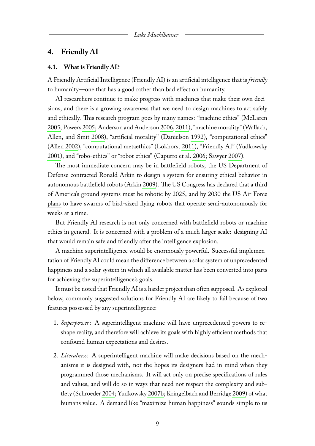## **4. Friendly AI**

#### <span id="page-10-0"></span>**4.1. What is Friendly AI?**

A Friendly Artificial Intelligence (Friendly AI) is an artificial intelligence that is *friendly* to humanity—one that has a good rather than bad effect on humanity.

AI researchers continue to make progress with machines that make their own decisions, and there is a growing awareness that we need to design machines to act safely and ethically. This research program goes by many names: "machine ethics" (McLaren [2005;](#page-19-14) Powers [2005;](#page-19-15) Anderson and Anderson [2006,](#page-17-8) [2011\)](#page-17-9), "machine morality" (Wallach, Allen, and Smit [2008\)](#page-20-8), "artificial morality" (Danielson [1992\)](#page-18-11), "computational ethics" (Allen [2002\)](#page-17-10), "computational metaethics" (Lokhorst [2011\)](#page-19-16), "Friendly AI" (Yudkowsky [2001\)](#page-21-4), and "robo-ethics" or "robot ethics" (Capurro et al. [2006;](#page-17-11) Sawyer [2007\)](#page-20-9).

The most immediate concern may be in battlefield robots; the US Department of Defense contracted Ronald Arkin to design a system for ensuring ethical behavior in autonomous battlefield robots (Arkin [2009\)](#page-17-12). The US Congress has declared that a third of America's ground systems must be robotic by 2025, and by 2030 the US Air Force [plans](http://commonsenseatheism.com/?p=14918) to have swarms of bird-sized flying robots that operate semi-autonomously for weeks at a time.

But Friendly AI research is not only concerned with battlefield robots or machine ethics in general. It is concerned with a problem of a much larger scale: designing AI that would remain safe and friendly after the intelligence explosion.

A machine superintelligence would be enormously powerful. Successful implementation of Friendly AI could mean the difference between a solar system of unprecedented happiness and a solar system in which all available matter has been converted into parts for achieving the superintelligence's goals.

It must be noted that Friendly AI is a harder project than often supposed. As explored below, commonly suggested solutions for Friendly AI are likely to fail because of two features possessed by any superintelligence:

- 1. *Superpower*: A superintelligent machine will have unprecedented powers to reshape reality, and therefore will achieve its goals with highly efficient methods that confound human expectations and desires.
- 2. *Literalness*: A superintelligent machine will make decisions based on the mechanisms it is designed with, not the hopes its designers had in mind when they programmed those mechanisms. It will act only on precise specifications of rules and values, and will do so in ways that need not respect the complexity and subtlety (Schroeder [2004;](#page-20-10) Yudkowsky [2007b;](#page-21-5) Kringelbach and Berridge [2009\)](#page-19-17) of what humans value. A demand like "maximize human happiness" sounds simple to us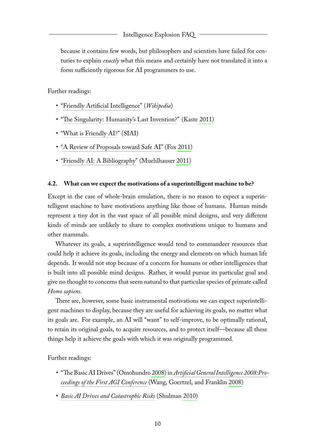because it contains few words, but philosophers and scientists have failed for centuries to explain *exactly* what this means and certainly have not translated it into a form sufficiently rigorous for AI programmers to use.

Further readings:

- ["Friendly Artificial Intelligence"](http://en.wikipedia.org/wiki/Friendly_artificial_intelligence) (*Wikipedia*)
- ["The Singularity: Humanity's Last Invention?"](http://www.npr.org/2011/01/11/132840775/The-Singularity-Humanitys-Last-Invention) (Kaste [2011\)](#page-18-12)
- ["What is Friendly AI?"](http://friendly-ai.com/) (SIAI)
- ["A Review of Proposals toward Safe AI"](http://adarti.blogspot.com/2011/04/review-of-proposals-toward-safe-ai.html) (Fox [2011\)](#page-18-13)
- ["Friendly AI: A Bibliography"](http://commonsenseatheism.com/?p=14047) (Muehlhauser [2011\)](#page-19-18)

#### <span id="page-11-0"></span>**4.2. What can we expect the motivations of a superintelligent machine to be?**

Except in the case of whole-brain emulation, there is no reason to expect a superintelligent machine to have motivations anything like those of humans. Human minds represent a tiny dot in the vast space of all possible mind designs, and very different kinds of minds are unlikely to share to complex motivations unique to humans and other mammals.

Whatever its goals, a superintelligence would tend to commandeer resources that could help it achieve its goals, including the energy and elements on which human life depends. It would not stop because of a concern for humans or other intelligences that is built into all possible mind designs. Rather, it would pursue its particular goal and give no thought to concerns that seem natural to that particular species of primate called *Homo sapiens*.

There are, however, some basic instrumental motivations we can expect superintelligent machines to display, because they are useful for achieving its goals, no matter what its goals are. For example, an AI will "want" to self-improve, to be optimally rational, to retain its original goals, to acquire resources, and to protect itself—because all these things help it achieve the goals with which it was originally programmed.

Further readings:

- "The Basic AI Drives" (Omohundro [2008\)](#page-19-13) in *[Artificial General Intelligence 2008:Pro](http://www.amazon.com/Artificial-General-Intelligence-2008-Applications/dp/1586038338/)[ceedings of the First AGI Conference](http://www.amazon.com/Artificial-General-Intelligence-2008-Applications/dp/1586038338/)* (Wang, Goertzel, and Franklin [2008\)](#page-20-11)
- <span id="page-11-1"></span>• *[Basic AI Drives and Catastrophic Risks](http://intelligence.org/files/BasicAIDrives.pdf)* (Shulman [2010\)](#page-20-12)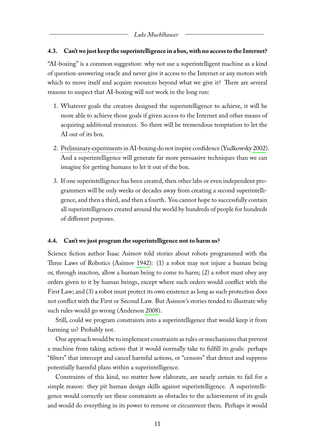#### **4.3. Can't we just keep the superintelligence in a box, with no access to the Internet?**

"AI-boxing" is a common suggestion: why not use a superintelligent machine as a kind of question-answering oracle and never give it access to the Internet or any motors with which to move itself and acquire resources beyond what we give it? There are several reasons to suspect that AI-boxing will not work in the long run:

- 1. Whatever goals the creators designed the superintelligence to achieve, it will be more able to achieve those goals if given access to the Internet and other means of acquiring additional resources. So there will be tremendous temptation to let the AI out of its box.
- 2. [Preliminary experiments](http://yudkowsky.net/singularity/aibox) in AI-boxing do not inspire confidence (Yudkowsky [2002\)](#page-21-6). And a superintelligence will generate far more persuasive techniques than we can imagine for getting humans to let it out of the box.
- 3. If one superintelligence has been created, then other labs or even independent programmers will be only weeks or decades away from creating a second superintelligence, and then a third, and then a fourth. You cannot hope to successfully contain all superintelligences created around the world by hundreds of people for hundreds of different purposes.

#### <span id="page-12-0"></span>**4.4. Can't we just program the superintelligence not to harm us?**

Science fiction author Isaac Asimov told stories about robots programmed with the Three Laws of Robotics (Asimov [1942\)](#page-17-13): (1) a robot may not injure a human being or, through inaction, allow a human being to come to harm; (2) a robot must obey any orders given to it by human beings, except where such orders would conflict with the First Law; and (3) a robot must protect its own existence as long as such protection does not conflict with the First or Second Law. But Asimov's stories tended to illustrate why such rules would go wrong (Anderson [2008\)](#page-17-14).

Still, could we program constraints into a superintelligence that would keep it from harming us? Probably not.

One approach would be to implement constraints as rules or mechanisms that prevent a machine from taking actions that it would normally take to fulfill its goals: perhaps "filters" that intercept and cancel harmful actions, or "censors" that detect and suppress potentially harmful plans within a superintelligence.

Constraints of this kind, no matter how elaborate, are nearly certain to fail for a simple reason: they pit human design skills against superintelligence. A superintelligence would correctly see these constraints as obstacles to the achievement of its goals and would do everything in its power to remove or circumvent them. Perhaps it would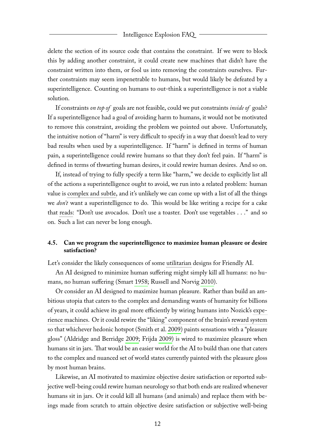delete the section of its source code that contains the constraint. If we were to block this by adding another constraint, it could create new machines that didn't have the constraint written into them, or fool us into removing the constraints ourselves. Further constraints may seem impenetrable to humans, but would likely be defeated by a superintelligence. Counting on humans to out-think a superintelligence is not a viable solution.

If constraints *on top of* goals are not feasible, could we put constraints *inside of* goals? If a superintelligence had a goal of avoiding harm to humans, it would not be motivated to remove this constraint, avoiding the problem we pointed out above. Unfortunately, the intuitive notion of "harm" is very difficult to specify in a way that doesn't lead to very bad results when used by a superintelligence. If "harm" is defined in terms of human pain, a superintelligence could rewire humans so that they don't feel pain. If "harm" is defined in terms of thwarting human desires, it could rewire human desires. And so on.

If, instead of trying to fully specify a term like "harm," we decide to explicitly list all of the actions a superintelligence ought to avoid, we run into a related problem: human valueis [complex and subtle,](http://lesswrong.com/lw/ld/the_hidden_complexity_of_wishes/) and it's unlikely we can come up with a list of all the things we *don't* want a superintelligence to do. This would be like writing a recipe for a cake that [reads:](http://lesswrong.com/lw/4qh/why_not_just_write_failsafe_rules_into_the/3nkv) "Don't use avocados. Don't use a toaster. Don't use vegetables . . ." and so on. Such a list can never be long enough.

# <span id="page-13-0"></span>**4.5. Can we program the superintelligence to maximize human pleasure or desire satisfaction?**

Let's consider the likely consequences of some [utilitarian](http://en.wikipedia.org/wiki/Utilitarianism) designs for Friendly AI.

An AI designed to minimize human suffering might simply kill all humans: no humans, no human suffering (Smart [1958;](#page-20-13) Russell and Norvig [2010\)](#page-20-14).

Or consider an AI designed to maximize human pleasure. Rather than build an ambitious utopia that caters to the complex and demanding wants of humanity for billions of years, it could achieve its goal more efficiently by wiring humans into Nozick's [expe](http://en.wikipedia.org/wiki/Experience_machine)[rience machines.](http://en.wikipedia.org/wiki/Experience_machine) Or it could rewire the ["liking" component](http://lesswrong.com/lw/4yq/the_neuroscience_of_pleasure/) of the brain's [reward system](http://www.scholarpedia.org/article/Reward) so that whichever hedonic hotspot (Smith et al. [2009\)](#page-20-15) paints sensations with a "pleasure gloss" (Aldridge and Berridge [2009;](#page-17-15) Frijda [2009\)](#page-18-14) is wired to maximize pleasure when humans sit in jars. That would be an easier world for the AI to build than one that caters to the complex and nuanced set of world states currently painted with the pleasure gloss by most human brains.

Likewise, an AI motivated to maximize objective desire satisfaction or reported subjective well-being could rewire human neurology so that both ends are realized whenever humans sit in jars. Or it could kill all humans (and animals) and replace them with beings made from scratch to attain objective desire satisfaction or subjective well-being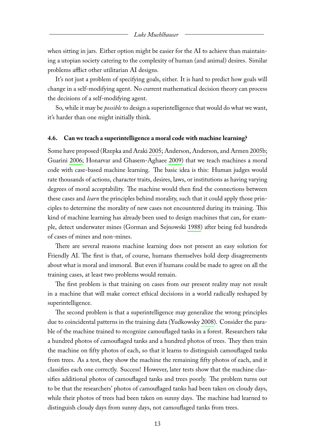#### *Luke Muehlhauser*

when sitting in jars. Either option might be easier for the AI to achieve than maintaining a utopian society catering to the complexity of human (and animal) desires. Similar problems afflict other utilitarian AI designs.

It's not just a problem of specifying goals, either. It is hard to predict how goals will change in a self-modifying agent. No current mathematical decision theory can process the decisions of a self-modifying agent.

So, while it may be *possible* to design a superintelligence that would do what we want, it's harder than one might initially think.

#### <span id="page-14-0"></span>**4.6. Can we teach a superintelligence a moral code with machine learning?**

Some have proposed (Rzepka and Araki [2005;](#page-20-16) Anderson, Anderson, and Armen [2005b;](#page-17-16) Guarini [2006;](#page-18-15) Honarvar and Ghasem-Aghaee [2009\)](#page-18-16) that we teach machines a moral code with case-based machine learning. The basic idea is this: Human judges would rate thousands of actions, character traits, desires, laws, or institutions as having varying degrees of moral acceptability. The machine would then find the connections between these cases and *learn* the principles behind morality, such that it could apply those principles to determine the morality of new cases not encountered during its training. This kind of machine learning has already been used to design machines that can, for example, detect underwater mines (Gorman and Sejnowski [1988\)](#page-18-17) after being fed hundreds of cases of mines and non-mines.

There are several reasons machine learning does not present an easy solution for Friendly AI. The first is that, of course, humans themselves hold deep disagreements about what is moral and immoral. But even if humans could be made to agree on all the training cases, at least two problems would remain.

The first problem is that training on cases from our present reality may not result in a machine that will make correct ethical decisions in a world radically reshaped by superintelligence.

The second problem is that a superintelligence may generalize the wrong principles due to coincidental patterns in the training data (Yudkowsky [2008\)](#page-21-3). Consider the parable of the machine trained to recognize camouflaged tanks in a forest. Researchers take a hundred photos of camouflaged tanks and a hundred photos of trees. They then train the machine on fifty photos of each, so that it learns to distinguish camouflaged tanks from trees. As a test, they show the machine the remaining fifty photos of each, and it classifies each one correctly. Success! However, later tests show that the machine classifies additional photos of camouflaged tanks and trees poorly. The problem turns out to be that the researchers' photos of camouflaged tanks had been taken on cloudy days, while their photos of trees had been taken on sunny days. The machine had learned to distinguish cloudy days from sunny days, not camouflaged tanks from trees.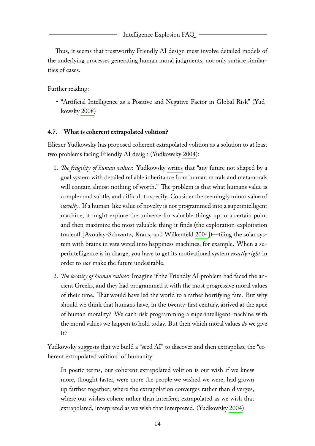Thus, it seems that trustworthy Friendly AI design must involve detailed models of the underlying processes generating human moral judgments, not only surface similarities of cases.

Further reading:

• ["Artificial Intelligence as a Positive and Negative Factor in Global Risk"](http://intelligence.org/files/AIPosNegFactor.pdf) (Yudkowsky [2008\)](#page-21-3)

# <span id="page-15-0"></span>**4.7. What is coherent extrapolated volition?**

Eliezer Yudkowsky has proposed coherent extrapolated volition as a solution to at least two problems facing Friendly AI design (Yudkowsky [2004\)](#page-21-7):

- 1. *The fragility of human values*: Yudkowsky [writes](http://lesswrong.com/lw/y3/value_is_fragile/) that "any future not shaped by a goal system with detailed reliable inheritance from human morals and metamorals will contain almost nothing of worth." The problem is that what humans value is complex and subtle, and difficult to specify. Consider the seemingly minor value of *novelty*. If a human-like value of novelty is not programmed into a superintelligent machine, it might explore the universe for valuable things up to a certain point and then maximize the most valuable thing it finds (the exploration-exploitation tradeoff [Azoulay-Schwartz, Kraus, and Wilkenfeld [2004\]](#page-17-17))—tiling the solar system with brains in vats wired into happiness machines, for example. When a superintelligence is in charge, you have to get its motivational system *exactly right* in order to *not* make the future undesirable.
- 2. *The locality of human values*: Imagine if the Friendly AI problem had faced the ancient Greeks, and they had programmed it with the most progressive moral values of their time. That would have led the world to a rather horrifying fate. But why should we think that humans have, in the twenty-first century, arrived at the apex of human morality? We can't risk programming a superintelligent machine with the moral values we happen to hold today. But then which moral values *do* we give it?

Yudkowsky [suggests](http://intelligence.org/files/CEV.pdf) that we build a "seed AI" to discover and then extrapolate the "coherent extrapolated volition" of humanity:

In poetic terms, our coherent extrapolated volition is our wish if we knew more, thought faster, were more the people we wished we were, had grown up farther together; where the extrapolation converges rather than diverges, where our wishes cohere rather than interfere; extrapolated as we wish that extrapolated, interpreted as we wish that interpreted. (Yudkowsky [2004\)](#page-21-7)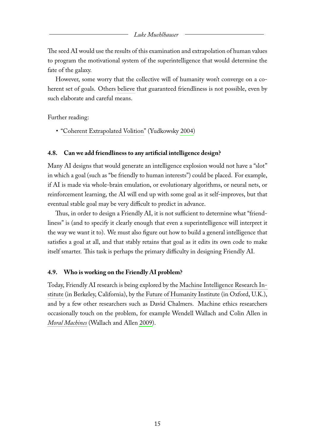#### *Luke Muehlhauser*

The seed AI would use the results of this examination and extrapolation of human values to program the motivational system of the superintelligence that would determine the fate of the galaxy.

However, some worry that the collective will of humanity won't converge on a coherent set of goals. Others [believe](http://multiverseaccordingtoben.blogspot.com/2010/10/singularity-institutes-scary-idea-and.html) that guaranteed friendliness is not possible, even by such elaborate and careful means.

Further reading:

• ["Coherent Extrapolated Volition"](http://intelligence.org/files/CEV.pdf) (Yudkowsky [2004\)](#page-21-7)

#### <span id="page-16-0"></span>**4.8. Can we add friendliness to any artificial intelligence design?**

Many AI designs that would generate an intelligence explosion would not have a "slot" in which a goal (such as "be friendly to human interests") could be placed. For example, if AI is made via whole-brain emulation, or evolutionary algorithms, or neural nets, or reinforcement learning, the AI will end up with some goal as it self-improves, but that eventual stable goal may be very difficult to predict in advance.

Thus, in order to design a Friendly AI, it is not sufficient to determine what "friendliness" is (and to specify it clearly enough that even a superintelligence will interpret it the way we want it to). We must also figure out how to build a general intelligence that satisfies a goal at all, and that stably retains that goal as it edits its own code to make itself smarter. This task is perhaps the primary difficulty in designing Friendly AI.

# <span id="page-16-1"></span>**4.9. Who is working on the Friendly AI problem?**

Today, Friendly AI research is being explored by the [Machine Intelligence Research In](http://intelligence.org)[stitute](http://intelligence.org) (in Berkeley, California), by the [Future of Humanity Institute](http://www.fhi.ox.ac.uk/) (in Oxford, U.K.), and by a few other researchers such as David Chalmers. Machine ethics researchers occasionally touch on the problem, for example Wendell Wallach and Colin Allen in *[Moral Machines](http://www.amazon.com/Moral-Machines-Teaching-Robots-Right/dp/0199737975/)* (Wallach and Allen [2009\)](#page-20-17).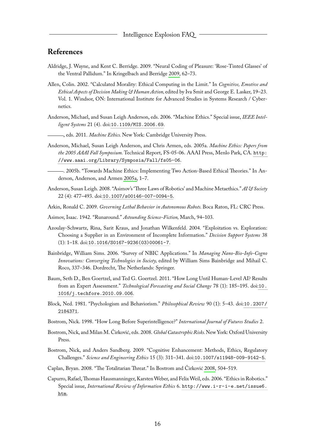# <span id="page-17-0"></span>**References**

- <span id="page-17-15"></span>Aldridge, J. Wayne, and Kent C. Berridge. 2009. "Neural Coding of Pleasure: 'Rose-Tinted Glasses' of the Ventral Pallidum." In Kringelbach and Berridge [2009,](#page-19-17) 62–73.
- <span id="page-17-10"></span>Allen, Colin. 2002. "Calculated Morality: Ethical Computing in the Limit." In *Cognitive, Emotive and Ethical Aspects of Decision Making & Human Action,* edited by Iva Smit and George E. Lasker, 19–23. Vol. 1. Windsor, ON: International Institute for Advanced Studies in Systems Research / Cybernetics.
- <span id="page-17-8"></span>Anderson, Michael, and Susan Leigh Anderson, eds. 2006. "Machine Ethics." Special issue, *IEEE Intelligent Systems* 21 (4). doi:[10.1109/MIS.2006.69](http://dx.doi.org/10.1109/MIS.2006.69).
- <span id="page-17-9"></span>, eds. 2011. *Machine Ethics.* New York: Cambridge University Press.
- <span id="page-17-18"></span>Anderson, Michael, Susan Leigh Anderson, and Chris Armen, eds. 2005a. *Machine Ethics: Papers from the 2005 AAAI Fall Symposium.* Technical Report, FS-05-06. AAAI Press, Menlo Park, CA. [http:](http://www.aaai.org/Library/Symposia/Fall/fs05-06) [//www.aaai.org/Library/Symposia/Fall/fs05-06](http://www.aaai.org/Library/Symposia/Fall/fs05-06).

<span id="page-17-16"></span>. 2005b. "Towards Machine Ethics: Implementing Two Action-Based Ethical Theories." In Anderson, Anderson, and Armen [2005a,](#page-17-18) 1–7.

- <span id="page-17-14"></span>Anderson, Susan Leigh. 2008. "Asimov's 'Three Laws of Robotics' and Machine Metaethics." *AI & Society* 22 (4): 477–493. doi:[10.1007/s00146-007-0094-5](http://dx.doi.org/10.1007/s00146-007-0094-5).
- <span id="page-17-12"></span>Arkin, Ronald C. 2009. *Governing Lethal Behavior in Autonomous Robots.* Boca Raton, FL: CRC Press.
- <span id="page-17-13"></span>Asimov, Isaac. 1942. "Runaround." *Astounding Science-Fiction,* March, 94–103.
- <span id="page-17-17"></span>Azoulay-Schwartz, Rina, Sarit Kraus, and Jonathan Wilkenfeld. 2004. "Exploitation vs. Exploration: Choosing a Supplier in an Environment of Incomplete Information." *Decision Support Systems* 38 (1): 1–18. doi:[10.1016/S0167-9236\(03\)00061-7](http://dx.doi.org/10.1016/S0167-9236(03)00061-7).
- <span id="page-17-4"></span>Bainbridge, William Sims. 2006. "Survey of NBIC Applications." In *Managing Nano-Bio-Info-Cogno Innovations: Converging Technologies in Society,* edited by William Sims Bainbridge and Mihail C. Roco, 337–346. Dordrecht, The Netherlands: Springer.
- <span id="page-17-3"></span>Baum, Seth D., Ben Goertzel, and Ted G. Goertzel. 2011. "How Long Until Human-Level AI? Results from an Expert Assessment." *Technological Forecasting and Social Change* 78 (1): 185–195. doi:[10.](http://dx.doi.org/10.1016/j.techfore.2010.09.006) [1016/j.techfore.2010.09.006](http://dx.doi.org/10.1016/j.techfore.2010.09.006).
- <span id="page-17-5"></span>Block, Ned. 1981. "Psychologism and Behaviorism." *Philosophical Review* 90 (1): 5–43. doi:[10.2307/](http://dx.doi.org/10.2307/2184371) [2184371](http://dx.doi.org/10.2307/2184371).
- <span id="page-17-2"></span>Bostrom, Nick. 1998. "How Long Before Superintelligence?" *International Journal of Futures Studies* 2.
- <span id="page-17-7"></span>Bostrom, Nick, and Milan M. Ćirković, eds. 2008. *Global Catastrophic Risks.*New York: Oxford University Press.
- <span id="page-17-1"></span>Bostrom, Nick, and Anders Sandberg. 2009. "Cognitive Enhancement: Methods, Ethics, Regulatory Challenges." *Science and Engineering Ethics* 15 (3): 311–341. doi:[10.1007/s11948-009-9142-5](http://dx.doi.org/10.1007/s11948-009-9142-5).
- <span id="page-17-6"></span>Caplan, Bryan. 2008. "The Totalitarian Threat." In Bostrom and Ćirković [2008,](#page-17-7) 504–519.
- <span id="page-17-11"></span>Capurro, Rafael,Thomas Hausmanninger, KarstenWeber, and FelixWeil, eds. 2006. "Ethics in Robotics." Special issue, *International Review of Information Ethics* 6. [http://www.i-r-i-e.net/issue6.](http://www.i-r-i-e.net/issue6.htm) [htm](http://www.i-r-i-e.net/issue6.htm).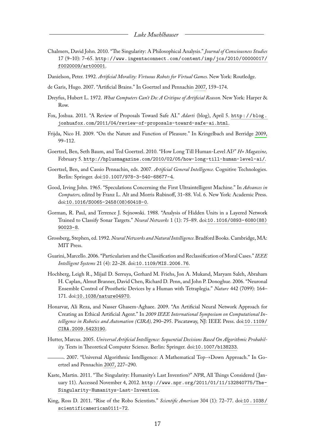- <span id="page-18-2"></span>Chalmers, David John. 2010. "The Singularity: A Philosophical Analysis." *Journal of Consciousness Studies* 17 (9–10): 7–65. [http://www.ingentaconnect.com/content/imp/jcs/2010/00000017/](http://www.ingentaconnect.com/content/imp/jcs/2010/00000017/f0020009/art00001) [f0020009/art00001](http://www.ingentaconnect.com/content/imp/jcs/2010/00000017/f0020009/art00001).
- <span id="page-18-11"></span>Danielson, Peter. 1992. *Artificial Morality: Virtuous Robots for Virtual Games.* New York: Routledge.
- <span id="page-18-7"></span>de Garis, Hugo. 2007. "Artificial Brains." In Goertzel and Pennachin [2007,](#page-18-4) 159–174.
- <span id="page-18-10"></span>Dreyfus, Hubert L. 1972. *What Computers Can't Do: A Critique of Artificial Reason.* New York: Harper & Row.
- <span id="page-18-13"></span>Fox, Joshua. 2011. "A Review of Proposals Toward Safe AI." *Adarti* (blog), April 5. [http : / / blog .](http://blog.joshuafox.com/2011/04/review-of-proposals-toward-safe-ai.html) [joshuafox.com/2011/04/review-of-proposals-toward-safe-ai.html](http://blog.joshuafox.com/2011/04/review-of-proposals-toward-safe-ai.html).
- <span id="page-18-14"></span>Frijda, Nico H. 2009. "On the Nature and Function of Pleasure." In Kringelbach and Berridge [2009,](#page-19-17) 99–112.
- <span id="page-18-9"></span>Goertzel, Ben, Seth Baum, and Ted Goertzel. 2010. "How Long Till Human-Level AI?" *H+ Magazine,* February 5. <http://hplusmagazine.com/2010/02/05/how-long-till-human-level-ai/>.
- <span id="page-18-4"></span>Goertzel, Ben, and Cassio Pennachin, eds. 2007. *Artificial General Intelligence.* Cognitive Technologies. Berlin: Springer. doi:[10.1007/978-3-540-68677-4](http://dx.doi.org/10.1007/978-3-540-68677-4).
- <span id="page-18-0"></span>Good, Irving John. 1965. "Speculations Concerning the First Ultraintelligent Machine." In *Advances in Computers,* edited by Franz L. Alt and Morris Rubinoff, 31–88. Vol. 6. New York: Academic Press. doi:[10.1016/S0065-2458\(08\)60418-0](http://dx.doi.org/10.1016/S0065-2458(08)60418-0).
- <span id="page-18-17"></span>Gorman, R. Paul, and Terrence J. Sejnowski. 1988. "Analysis of Hidden Units in a Layered Network Trained to Classify Sonar Targets." *Neural Networks* 1 (1): 75–89. doi:[10.1016/0893-6080\(88\)](http://dx.doi.org/10.1016/0893-6080(88)90023-8) [90023-8](http://dx.doi.org/10.1016/0893-6080(88)90023-8).
- <span id="page-18-6"></span>Grossberg, Stephen, ed. 1992. *Neural Networks and Natural Intelligence.*Bradford Books. Cambridge, MA: MIT Press.
- <span id="page-18-15"></span>Guarini, Marcello. 2006. "Particularism and the Classification and Reclassification of Moral Cases."*IEEE Intelligent Systems* 21 (4): 22–28. doi:[10.1109/MIS.2006.76](http://dx.doi.org/10.1109/MIS.2006.76).
- <span id="page-18-5"></span>Hochberg, Leigh R., Mijail D. Serruya, Gerhard M. Friehs, Jon A. Mukand, Maryam Saleh, Abraham H. Caplan, Almut Branner, David Chen, Richard D. Penn, and John P. Donoghue. 2006. "Neuronal Ensemble Control of Prosthetic Devices by a Human with Tetraplegia." *Nature* 442 (7099): 164– 171. doi:[10.1038/nature04970](http://dx.doi.org/10.1038/nature04970).
- <span id="page-18-16"></span>Honarvar, Ali Reza, and Nasser Ghasem-Aghaee. 2009. "An Artificial Neural Network Approach for Creating an Ethical Artificial Agent." In *2009 IEEE International Symposium on Computational Intelligence in Robotics and Automation (CIRA),* 290–295. Piscataway, NJ: IEEE Press. doi:[10.1109/](http://dx.doi.org/10.1109/CIRA.2009.5423190) [CIRA.2009.5423190](http://dx.doi.org/10.1109/CIRA.2009.5423190).
- <span id="page-18-3"></span>Hutter, Marcus. 2005. *Universal Artificial Intelligence: Sequential Decisions Based On Algorithmic Probability.* Texts in Theoretical Computer Science. Berlin: Springer. doi:[10.1007/b138233](http://dx.doi.org/10.1007/b138233).
- <span id="page-18-8"></span>. 2007. "Universal Algorithmic Intelligence: A Mathematical Top→Down Approach." In Goertzel and Pennachin [2007,](#page-18-4) 227–290.
- <span id="page-18-12"></span>Kaste, Martin. 2011. "The Singularity: Humanity's Last Invention?" *NPR,* All Things Considered ( January 11). Accessed November 4, 2012. [http://www.npr.org/2011/01/11/132840775/The-](http://www.npr.org/2011/01/11/132840775/The-Singularity-Humanitys-Last-Invention)[Singularity-Humanitys-Last-Invention](http://www.npr.org/2011/01/11/132840775/The-Singularity-Humanitys-Last-Invention).
- <span id="page-18-1"></span>King, Ross D. 2011. "Rise of the Robo Scientists." *Scientific American* 304 (1): 72–77. doi:[10 . 1038 /](http://dx.doi.org/10.1038/scientificamerican0111-72) [scientificamerican0111-72](http://dx.doi.org/10.1038/scientificamerican0111-72).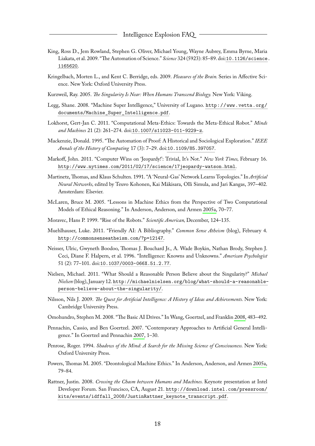- <span id="page-19-3"></span>King, Ross D., Jem Rowland, Stephen G. Oliver, Michael Young, Wayne Aubrey, Emma Byrne, Maria Liakata, et al. 2009. "The Automation of Science." *Science* 324 (5923): 85–89. doi:[10.1126/science.](http://dx.doi.org/10.1126/science.1165620) [1165620](http://dx.doi.org/10.1126/science.1165620).
- <span id="page-19-17"></span>Kringelbach, Morten L., and Kent C. Berridge, eds. 2009. *Pleasures of the Brain.* Series in Affective Science. New York: Oxford University Press.
- <span id="page-19-8"></span>Kurzweil, Ray. 2005. *The Singularity Is Near: When Humans Transcend Biology.* New York: Viking.
- <span id="page-19-4"></span>Legg, Shane. 2008. "Machine Super Intelligence," University of Lugano. [http://www.vetta.org/](http://www.vetta.org/documents/Machine_Super_Intelligence.pdf) [documents/Machine\\_Super\\_Intelligence.pdf](http://www.vetta.org/documents/Machine_Super_Intelligence.pdf).
- <span id="page-19-16"></span>Lokhorst, Gert-Jan C. 2011. "Computational Meta-Ethics: Towards the Meta-Ethical Robot." *Minds and Machines* 21 (2): 261–274. doi:[10.1007/s11023-011-9229-z](http://dx.doi.org/10.1007/s11023-011-9229-z).
- <span id="page-19-0"></span>Mackenzie, Donald. 1995. "The Automation of Proof: A Historical and Sociological Exploration." *IEEE Annals of the History of Computing* 17 (3): 7–29. doi:[10.1109/85.397057](http://dx.doi.org/10.1109/85.397057).
- <span id="page-19-2"></span>Markoff, John. 2011. "Computer Wins on 'Jeopardy!': Trivial, It's Not." *New York Times,* February 16. <http://www.nytimes.com/2011/02/17/science/17jeopardy-watson.html>.
- <span id="page-19-6"></span>Martinetz, Thomas, and Klaus Schulten. 1991. "A 'Neural-Gas' Network Learns Topologies." In *Artificial Neural Networks,* edited by Teuvo Kohonen, Kai Mäkisara, Olli Simula, and Jari Kangas, 397–402. Amsterdam: Elsevier.
- <span id="page-19-14"></span>McLaren, Bruce M. 2005. "Lessons in Machine Ethics from the Perspective of Two Computational Models of Ethical Reasoning." In Anderson, Anderson, and Armen [2005a,](#page-17-18) 70–77.
- <span id="page-19-11"></span>Moravec, Hans P. 1999. "Rise of the Robots." *Scientific American,* December, 124–135.
- <span id="page-19-18"></span>Muehlhauser, Luke. 2011. "Friendly AI: A Bibliography." *Common Sense Atheism* (blog), February 4. <http://commonsenseatheism.com/?p=12147>.
- <span id="page-19-5"></span>Neisser, Ulric, Gwyneth Boodoo, Thomas J. Bouchard Jr., A. Wade Boykin, Nathan Brody, Stephen J. Ceci, Diane F. Halpern, et al. 1996. "Intelligence: Knowns and Unknowns." *American Psychologist* 51 (2): 77–101. doi:[10.1037/0003-066X.51.2.77](http://dx.doi.org/10.1037/0003-066X.51.2.77).
- <span id="page-19-10"></span>Nielsen, Michael. 2011. "What Should a Reasonable Person Believe about the Singularity?" *Michael Nielsen* (blog), January 12. [http://michaelnielsen.org/blog/what-should-a-reasonable](http://michaelnielsen.org/blog/what-should-a-reasonable-person-believe-about-the-singularity/)[person-believe-about-the-singularity/](http://michaelnielsen.org/blog/what-should-a-reasonable-person-believe-about-the-singularity/).
- <span id="page-19-1"></span>Nilsson, Nils J. 2009. *The Quest for Artificial Intelligence: A History of Ideas and Achievements.* New York: Cambridge University Press.
- <span id="page-19-13"></span>Omohundro, Stephen M. 2008. "The Basic AI Drives." In Wang, Goertzel, and Franklin [2008,](#page-20-11) 483–492.
- <span id="page-19-7"></span>Pennachin, Cassio, and Ben Goertzel. 2007. "Contemporary Approaches to Artificial General Intelligence." In Goertzel and Pennachin [2007,](#page-18-4) 1–30.
- <span id="page-19-12"></span>Penrose, Roger. 1994. *Shadows of the Mind: A Search for the Missing Science of Consciousness.* New York: Oxford University Press.
- <span id="page-19-15"></span>Powers, Thomas M. 2005. "Deontological Machine Ethics." In Anderson, Anderson, and Armen [2005a,](#page-17-18) 79–84.
- <span id="page-19-9"></span>Rattner, Justin. 2008. *Crossing the Chasm between Humans and Machines.* Keynote presentation at Intel Developer Forum. San Francisco, CA, August 21. [http://download.intel.com/pressroom/](http://download.intel.com/pressroom/kits/events/idffall_2008/JustinRattner_keynote_transcript.pdf) [kits/events/idffall\\_2008/JustinRattner\\_keynote\\_transcript.pdf](http://download.intel.com/pressroom/kits/events/idffall_2008/JustinRattner_keynote_transcript.pdf).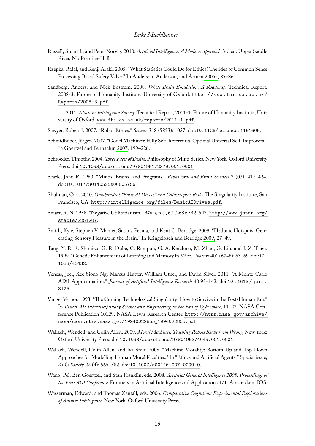- <span id="page-20-14"></span>Russell, Stuart J., and Peter Norvig. 2010. *Artificial Intelligence: A Modern Approach.* 3rd ed. Upper Saddle River, NJ: Prentice-Hall.
- <span id="page-20-16"></span>Rzepka, Rafal, and Kenji Araki. 2005. "What Statistics Could Do for Ethics? The Idea of Common Sense Processing Based Safety Valve." In Anderson, Anderson, and Armen [2005a,](#page-17-18) 85–86.
- <span id="page-20-3"></span>Sandberg, Anders, and Nick Bostrom. 2008. *Whole Brain Emulation: A Roadmap.* Technical Report, 2008-3. Future of Humanity Institute, University of Oxford. [http : / / www . fhi . ox . ac . uk /](http://www.fhi.ox.ac.uk/Reports/2008-3.pdf) [Reports/2008-3.pdf](http://www.fhi.ox.ac.uk/Reports/2008-3.pdf).
	- . 2011. *Machine Intelligence Survey.*Technical Report, 2011-1. Future of Humanity Institute, University of Oxford. <www.fhi.ox.ac.uk/reports/2011-1.pdf>.
- <span id="page-20-9"></span><span id="page-20-6"></span>Sawyer, Robert J. 2007. "Robot Ethics." *Science* 318 (5853): 1037. doi:[10.1126/science.1151606](http://dx.doi.org/10.1126/science.1151606).
- <span id="page-20-5"></span>Schmidhuber, Jürgen. 2007. "Gödel Machines: Fully Self-Referential Optimal Universal Self-Improvers." In Goertzel and Pennachin [2007,](#page-18-4) 199–226.
- <span id="page-20-10"></span>Schroeder, Timothy. 2004. *Three Faces of Desire.*Philosophy of Mind Series. New York: Oxford University Press. doi:[10.1093/acprof:oso/9780195172379.001.0001](http://dx.doi.org/10.1093/acprof:oso/9780195172379.001.0001).
- <span id="page-20-7"></span>Searle, John R. 1980. "Minds, Brains, and Programs." *Behavioral and Brain Sciences* 3 (03): 417–424. doi:[10.1017/S0140525X00005756](http://dx.doi.org/10.1017/S0140525X00005756).
- <span id="page-20-12"></span>Shulman, Carl. 2010. *Omohundro's "Basic AI Drives" and Catastrophic Risks.*The Singularity Institute, San Francisco, CA. <http://intelligence.org/files/BasicAIDrives.pdf>.
- <span id="page-20-13"></span>Smart, R. N. 1958. "Negative Utilitarianism." *Mind,* n.s., 67 (268): 542–543. [http://www.jstor.org/](http://www.jstor.org/stable/2251207) [stable/2251207](http://www.jstor.org/stable/2251207).
- <span id="page-20-15"></span>Smith, Kyle, Stephen V. Mahler, Susana Pecina, and Kent C. Berridge. 2009. "Hedonic Hotspots: Generating Sensory Pleasure in the Brain." In Kringelbach and Berridge [2009,](#page-19-17) 27–49.
- <span id="page-20-4"></span>Tang, Y. P., E. Shimizu, G. R. Dube, C. Rampon, G. A. Kerchner, M. Zhuo, G. Liu, and J. Z. Tsien. 1999. "Genetic Enhancement of Learning and Memory in Mice." *Nature* 401 (6748): 63–69. doi:[10.](http://dx.doi.org/10.1038/43432) [1038/43432](http://dx.doi.org/10.1038/43432).
- <span id="page-20-2"></span>Veness, Joel, Kee Siong Ng, Marcus Hutter, William Uther, and David Silver. 2011. "A Monte-Carlo AIXI Approximation." *Journal of Artificial Intelligence Research* 40:95–142. doi:[10 . 1613 / jair .](http://dx.doi.org/10.1613/jair.3125) [3125](http://dx.doi.org/10.1613/jair.3125).
- <span id="page-20-0"></span>Vinge, Vernor. 1993. "The Coming Technological Singularity: How to Survive in the Post-Human Era." In *Vision-21: Interdisciplinary Science and Engineering in the Era of Cyberspace,* 11–22. NASA Conference Publication 10129. NASA Lewis Research Center. [http://ntrs.nasa.gov/archive/](http://ntrs.nasa.gov/archive/nasa/casi.ntrs.nasa.gov/19940022855_1994022855.pdf) [nasa/casi.ntrs.nasa.gov/19940022855\\_1994022855.pdf](http://ntrs.nasa.gov/archive/nasa/casi.ntrs.nasa.gov/19940022855_1994022855.pdf).
- <span id="page-20-17"></span>Wallach, Wendell, and Colin Allen. 2009. *Moral Machines: Teaching Robots Right from Wrong.*New York: Oxford University Press. doi:[10.1093/acprof:oso/9780195374049.001.0001](http://dx.doi.org/10.1093/acprof:oso/9780195374049.001.0001).
- <span id="page-20-8"></span>Wallach, Wendell, Colin Allen, and Iva Smit. 2008. "Machine Morality: Bottom-Up and Top-Down Approaches for Modelling Human Moral Faculties." In "Ethics and Artificial Agents." Special issue, *AI & Society* 22 (4): 565–582. doi:[10.1007/s00146-007-0099-0](http://dx.doi.org/10.1007/s00146-007-0099-0).
- <span id="page-20-11"></span>Wang, Pei, Ben Goertzel, and Stan Franklin, eds. 2008. *Artificial General Intelligence 2008: Proceedings of the First AGI Conference.* Frontiers in Artificial Intelligence and Applications 171. Amsterdam: IOS.
- <span id="page-20-1"></span>Wasserman, Edward, and Thomas Zentall, eds. 2006. *Comparative Cognition: Experimental Explorations of Animal Intelligence.* New York: Oxford University Press.